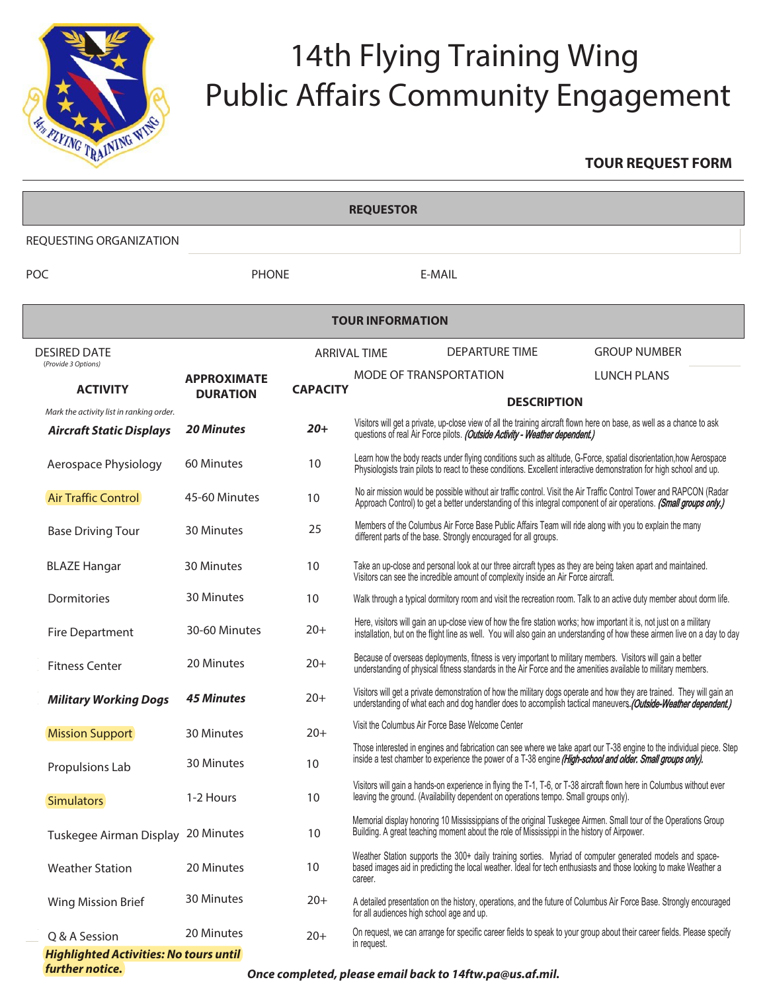

## 14th Flying Training Wing Public Affairs Community Engagement

## **TOUR REQUEST FORM**

| <b>REQUESTOR</b>                                                            |                                       |                     |                                                                                                                                                                                                                                                    |                                                     |                     |
|-----------------------------------------------------------------------------|---------------------------------------|---------------------|----------------------------------------------------------------------------------------------------------------------------------------------------------------------------------------------------------------------------------------------------|-----------------------------------------------------|---------------------|
| REQUESTING ORGANIZATION                                                     |                                       |                     |                                                                                                                                                                                                                                                    |                                                     |                     |
| POC                                                                         | <b>PHONE</b>                          |                     |                                                                                                                                                                                                                                                    | F-MAII                                              |                     |
| <b>TOUR INFORMATION</b>                                                     |                                       |                     |                                                                                                                                                                                                                                                    |                                                     |                     |
| <b>DESIRED DATE</b><br>(Provide 3 Options)                                  |                                       | <b>ARRIVAL TIME</b> |                                                                                                                                                                                                                                                    | <b>DEPARTURE TIME</b>                               | <b>GROUP NUMBER</b> |
| <b>ACTIVITY</b>                                                             | <b>APPROXIMATE</b><br><b>DURATION</b> | <b>CAPACITY</b>     |                                                                                                                                                                                                                                                    | <b>MODE OF TRANSPORTATION</b><br><b>DESCRIPTION</b> | <b>LUNCH PLANS</b>  |
| Mark the activity list in ranking order.<br><b>Aircraft Static Displays</b> | <b>20 Minutes</b>                     | $20+$               | Visitors will get a private, up-close view of all the training aircraft flown here on base, as well as a chance to ask<br>questions of real Air Force pilots. (Outside Activity - Weather dependent.)                                              |                                                     |                     |
| Aerospace Physiology                                                        | 60 Minutes                            | 10                  | Learn how the body reacts under flying conditions such as altitude, G-Force, spatial disorientation, how Aerospace<br>Physiologists train pilots to react to these conditions. Excellent interactive demonstration for high school and up.         |                                                     |                     |
| <b>Air Traffic Control</b>                                                  | 45-60 Minutes                         | 10                  | No air mission would be possible without air traffic control. Visit the Air Traffic Control Tower and RAPCON (Radar<br>Approach Control) to get a better understanding of this integral component of air operations. (Small groups only.)          |                                                     |                     |
| <b>Base Driving Tour</b>                                                    | 30 Minutes                            | 25                  | Members of the Columbus Air Force Base Public Affairs Team will ride along with you to explain the many<br>different parts of the base. Strongly encouraged for all groups.                                                                        |                                                     |                     |
| <b>BLAZE Hangar</b>                                                         | 30 Minutes                            | 10                  | Take an up-close and personal look at our three aircraft types as they are being taken apart and maintained.<br>Visitors can see the incredible amount of complexity inside an Air Force aircraft.                                                 |                                                     |                     |
| Dormitories                                                                 | 30 Minutes                            | 10                  | Walk through a typical dormitory room and visit the recreation room. Talk to an active duty member about dorm life.                                                                                                                                |                                                     |                     |
| Fire Department                                                             | 30-60 Minutes                         | $20+$               | Here, visitors will gain an up-close view of how the fire station works; how important it is, not just on a military<br>installation, but on the flight line as well. You will also gain an understanding of how these airmen live on a day to day |                                                     |                     |
| <b>Fitness Center</b>                                                       | 20 Minutes                            | $20+$               | Because of overseas deployments, fitness is very important to military members. Visitors will gain a better<br>understanding of physical fitness standards in the Air Force and the amenities available to military members.                       |                                                     |                     |
| <b>Military Working Dogs</b>                                                | <b>45 Minutes</b>                     | $20+$               | Visitors will get a private demonstration of how the military dogs operate and how they are trained. They will gain an<br>understanding of what each and dog handler does to accomplish tactical maneuvers. (Outside-Weather dependent.)           |                                                     |                     |
| <b>Mission Support</b>                                                      | 30 Minutes                            | $20+$               |                                                                                                                                                                                                                                                    | Visit the Columbus Air Force Base Welcome Center    |                     |
| Propulsions Lab                                                             | 30 Minutes                            | 10                  | Those interested in engines and fabrication can see where we take apart our T-38 engine to the individual piece. Step<br>inside a test chamber to experience the power of a T-38 engine (High-school and older. Small groups only).                |                                                     |                     |
| <b>Simulators</b>                                                           | 1-2 Hours                             | 10                  | Visitors will gain a hands-on experience in flying the T-1, T-6, or T-38 aircraft flown here in Columbus without ever<br>leaving the ground. (Availability dependent on operations tempo. Small groups only).                                      |                                                     |                     |
| Tuskegee Airman Display 20 Minutes                                          |                                       | 10                  | Memorial display honoring 10 Mississippians of the original Tuskegee Airmen. Small tour of the Operations Group<br>Building. A great teaching moment about the role of Mississippi in the history of Airpower.                                     |                                                     |                     |
| <b>Weather Station</b>                                                      | 20 Minutes                            | 10                  | Weather Station supports the 300+ daily training sorties. Myriad of computer generated models and space-<br>based images aid in predicting the local weather. Ideal for tech enthusiasts and those looking to make Weather a<br>career.            |                                                     |                     |
| Wing Mission Brief                                                          | 30 Minutes                            | $20+$               | A detailed presentation on the history, operations, and the future of Columbus Air Force Base. Strongly encouraged<br>for all audiences high school age and up.                                                                                    |                                                     |                     |
| Q & A Session                                                               | 20 Minutes                            | $20+$               | On request, we can arrange for specific career fields to speak to your group about their career fields. Please specify<br>in request.                                                                                                              |                                                     |                     |
| <b>Highlighted Activities: No tours until</b><br>further notice.            |                                       |                     |                                                                                                                                                                                                                                                    | $\mathbf{a}$ l kaskata Addina ma $\alpha$           |                     |